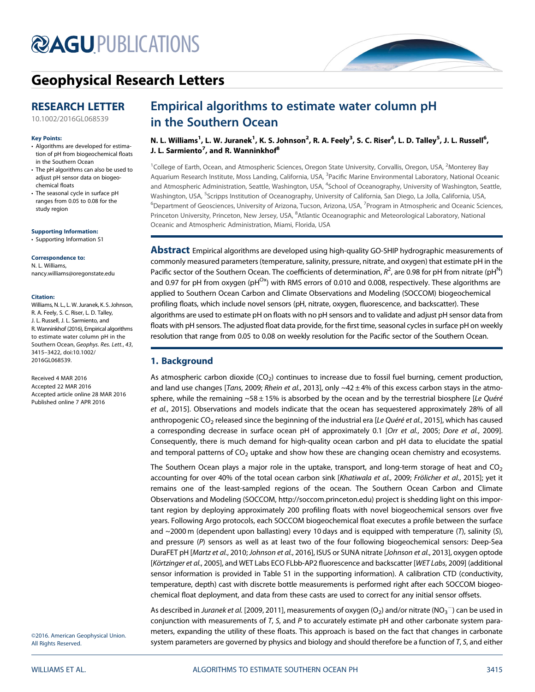## **@AGU[PUBLICATIONS](http://publications.agu.org/journals/)**



### [Geophysical Research Letters](http://onlinelibrary.wiley.com/journal/10.1002/(ISSN)1944-8007)

### RESEARCH LETTER

[10.1002/2016GL068539](http://dx.doi.org/10.1002/2016GL068539)

#### Key Points:

- Algorithms are developed for estimation of pH from biogeochemical floats in the Southern Ocean
- The pH algorithms can also be used to adjust pH sensor data on biogeochemical floats
- The seasonal cycle in surface pH ranges from 0.05 to 0.08 for the study region

[Supporting Information:](http://dx.doi.org/10.1002/2016GL068539)

[•](http://dx.doi.org/10.1002/2016GL068539) [Supporting Information S1](http://dx.doi.org/10.1002/2016GL068539)

#### Correspondence to:

N. L. Williams, nancy.williams@oregonstate.edu

#### Citation:

Williams, N. L., L. W. Juranek, K. S. Johnson, R. A. Feely, S. C. Riser, L. D. Talley, J. L. Russell, J. L. Sarmiento, and R. Wanninkhof (2016), Empirical algorithms to estimate water column pH in the Southern Ocean, Geophys. Res. Lett., 43, 3415–3422, doi:10.1002/ 2016GL068539.

Received 4 MAR 2016 Accepted 22 MAR 2016 Accepted article online 28 MAR 2016 Published online 7 APR 2016

©2016. American Geophysical Union. All Rights Reserved.

# Empirical algorithms to estimate water column pH

n. L. Williams<sup>1</sup>, L. W. Juranek<sup>1</sup>, K. S. Johnson<sup>2</sup>, R. A. Feely<sup>3</sup>, S. C. Riser<sup>4</sup>, L. D. Talley<sup>5</sup>, J. L. Russell<sup>6</sup>, J. L. Sarmiento<sup>7</sup>, and R. Wanninkhof<sup>8</sup>

<sup>1</sup>College of Earth, Ocean, and Atmospheric Sciences, Oregon State University, Corvallis, Oregon, USA, <sup>2</sup>Monterey Bay Aquarium Research Institute, Moss Landing, California, USA, <sup>3</sup>Pacific Marine Environmental Laboratory, National Oceanic and Atmospheric Administration, Seattle, Washington, USA, <sup>4</sup>School of Oceanography, University of Washington, Seattle, Washington, USA, <sup>5</sup>Scripps Institution of Oceanography, University of California, San Diego, La Jolla, California, USA, <sup>6</sup>Department of Geosciences, University of Arizona, Tucson, Arizona, USA, <sup>7</sup>Program in Atmospheric and Oceanic Sciences, Princeton University, Princeton, New Jersey, USA, <sup>8</sup>Atlantic Oceanographic and Meteorological Laboratory, National Oceanic and Atmospheric Administration, Miami, Florida, USA

**Abstract** Empirical algorithms are developed using high-quality GO-SHIP hydrographic measurements of commonly measured parameters (temperature, salinity, pressure, nitrate, and oxygen) that estimate pH in the Pacific sector of the Southern Ocean. The coefficients of determination,  $R^2$ , are 0.98 for pH from nitrate (pH $^{\sf N}$ ) and 0.97 for pH from oxygen (pH<sup>Ox</sup>) with RMS errors of 0.010 and 0.008, respectively. These algorithms are applied to Southern Ocean Carbon and Climate Observations and Modeling (SOCCOM) biogeochemical profiling floats, which include novel sensors (pH, nitrate, oxygen, fluorescence, and backscatter). These algorithms are used to estimate pH on floats with no pH sensors and to validate and adjust pH sensor data from floats with pH sensors. The adjusted float data provide, for the first time, seasonal cycles in surface pH on weekly resolution that range from 0.05 to 0.08 on weekly resolution for the Pacific sector of the Southern Ocean.

#### 1. Background

As atmospheric carbon dioxide  $(CO<sub>2</sub>)$  continues to increase due to fossil fuel burning, cement production, and land use changes [Tans, 2009; Rhein et al., 2013], only  $\sim$  42  $\pm$  4% of this excess carbon stays in the atmosphere, while the remaining  $~58 \pm 15\%$  is absorbed by the ocean and by the terrestrial biosphere [Le Quéré et al., 2015]. Observations and models indicate that the ocean has sequestered approximately 28% of all anthropogenic CO<sub>2</sub> released since the beginning of the industrial era [Le Quéré et al., 2015], which has caused a corresponding decrease in surface ocean pH of approximately 0.1 [Orr et al., 2005; Dore et al., 2009]. Consequently, there is much demand for high-quality ocean carbon and pH data to elucidate the spatial and temporal patterns of  $CO<sub>2</sub>$  uptake and show how these are changing ocean chemistry and ecosystems.

The Southern Ocean plays a major role in the uptake, transport, and long-term storage of heat and  $CO<sub>2</sub>$ accounting for over 40% of the total ocean carbon sink [Khatiwala et al., 2009; Frölicher et al., 2015]; yet it remains one of the least-sampled regions of the ocean. The Southern Ocean Carbon and Climate Observations and Modeling (SOCCOM,<http://soccom.princeton.edu>) project is shedding light on this important region by deploying approximately 200 profiling floats with novel biogeochemical sensors over five years. Following Argo protocols, each SOCCOM biogeochemical float executes a profile between the surface and ~2000 m (dependent upon ballasting) every 10 days and is equipped with temperature (T), salinity (S), and pressure (P) sensors as well as at least two of the four following biogeochemical sensors: Deep-Sea DuraFET pH [Martz et al., 2010; Johnson et al., 2016], ISUS or SUNA nitrate [Johnson et al., 2013], oxygen optode [Körtzinger et al., 2005], and WET Labs ECO FLbb-AP2 fluorescence and backscatter [WET Labs, 2009] (additional sensor information is provided in Table S1 in the supporting information). A calibration CTD (conductivity, temperature, depth) cast with discrete bottle measurements is performed right after each SOCCOM biogeochemical float deployment, and data from these casts are used to correct for any initial sensor offsets.

As described in *Juranek et al*. [2009, 2011], measurements of oxygen (O<sub>2</sub>) and/or nitrate (NO<sub>3</sub>  $^-$ ) can be used in conjunction with measurements of  $T$ ,  $S$ , and  $P$  to accurately estimate pH and other carbonate system parameters, expanding the utility of these floats. This approach is based on the fact that changes in carbonate system parameters are governed by physics and biology and should therefore be a function of  $T$ ,  $S$ , and either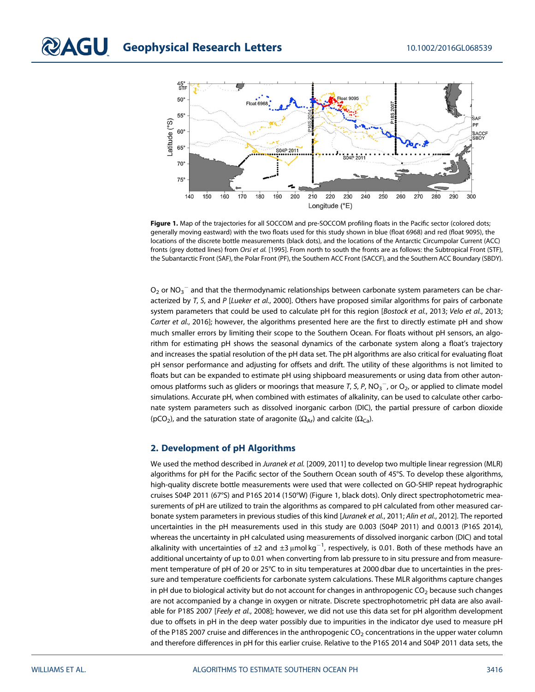

Figure 1. Map of the trajectories for all SOCCOM and pre-SOCCOM profiling floats in the Pacific sector (colored dots; generally moving eastward) with the two floats used for this study shown in blue (float 6968) and red (float 9095), the locations of the discrete bottle measurements (black dots), and the locations of the Antarctic Circumpolar Current (ACC) fronts (grey dotted lines) from Orsi et al. [1995]. From north to south the fronts are as follows: the Subtropical Front (STF), the Subantarctic Front (SAF), the Polar Front (PF), the Southern ACC Front (SACCF), and the Southern ACC Boundary (SBDY).

 $\mathsf{O}_2$  or N $\mathsf{O}_3^-$  and that the thermodynamic relationships between carbonate system parameters can be characterized by T, S, and P [Lueker et al., 2000]. Others have proposed similar algorithms for pairs of carbonate system parameters that could be used to calculate pH for this region [Bostock et al., 2013; Velo et al., 2013; Carter et al., 2016]; however, the algorithms presented here are the first to directly estimate pH and show much smaller errors by limiting their scope to the Southern Ocean. For floats without pH sensors, an algorithm for estimating pH shows the seasonal dynamics of the carbonate system along a float's trajectory and increases the spatial resolution of the pH data set. The pH algorithms are also critical for evaluating float pH sensor performance and adjusting for offsets and drift. The utility of these algorithms is not limited to floats but can be expanded to estimate pH using shipboard measurements or using data from other autonomous platforms such as gliders or moorings that measure T, S, P, NO $_3^-$ , or O $_2$ , or applied to climate model simulations. Accurate pH, when combined with estimates of alkalinity, can be used to calculate other carbonate system parameters such as dissolved inorganic carbon (DIC), the partial pressure of carbon dioxide (pCO<sub>2</sub>), and the saturation state of aragonite ( $\Omega_{Ar}$ ) and calcite ( $\Omega_{Ca}$ ).

#### 2. Development of pH Algorithms

We used the method described in Juranek et al. [2009, 2011] to develop two multiple linear regression (MLR) algorithms for pH for the Pacific sector of the Southern Ocean south of 45°S. To develop these algorithms, high-quality discrete bottle measurements were used that were collected on GO-SHIP repeat hydrographic cruises S04P 2011 (67°S) and P16S 2014 (150°W) (Figure 1, black dots). Only direct spectrophotometric measurements of pH are utilized to train the algorithms as compared to pH calculated from other measured carbonate system parameters in previous studies of this kind [Juranek et al., 2011; Alin et al., 2012]. The reported uncertainties in the pH measurements used in this study are 0.003 (S04P 2011) and 0.0013 (P16S 2014), whereas the uncertainty in pH calculated using measurements of dissolved inorganic carbon (DIC) and total alkalinity with uncertainties of  $\pm 2$  and  $\pm 3$  µmol kg $^{-1}$ , respectively, is 0.01. Both of these methods have an additional uncertainty of up to 0.01 when converting from lab pressure to in situ pressure and from measurement temperature of pH of 20 or 25°C to in situ temperatures at 2000 dbar due to uncertainties in the pressure and temperature coefficients for carbonate system calculations. These MLR algorithms capture changes in pH due to biological activity but do not account for changes in anthropogenic  $CO<sub>2</sub>$  because such changes are not accompanied by a change in oxygen or nitrate. Discrete spectrophotometric pH data are also available for P18S 2007 [Feely et al., 2008]; however, we did not use this data set for pH algorithm development due to offsets in pH in the deep water possibly due to impurities in the indicator dye used to measure pH of the P18S 2007 cruise and differences in the anthropogenic  $CO<sub>2</sub>$  concentrations in the upper water column and therefore differences in pH for this earlier cruise. Relative to the P16S 2014 and S04P 2011 data sets, the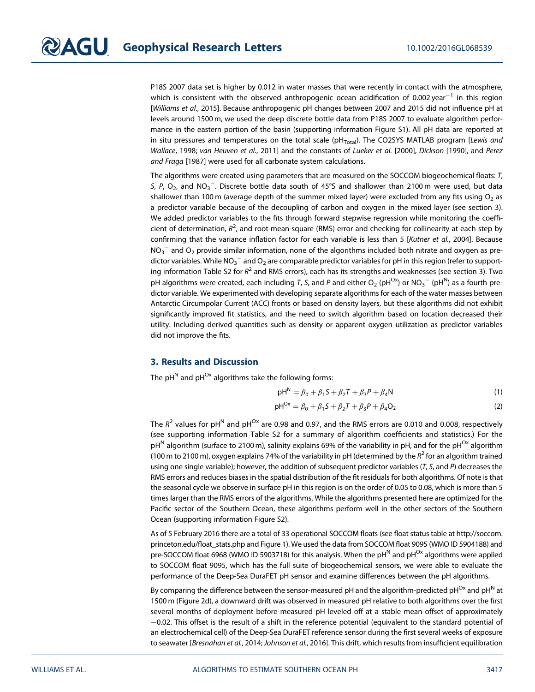P18S 2007 data set is higher by 0.012 in water masses that were recently in contact with the atmosphere, which is consistent with the observed anthropogenic ocean acidification of 0.002 year<sup>-1</sup> in this region [Williams et al., 2015]. Because anthropogenic pH changes between 2007 and 2015 did not influence pH at levels around 1500 m, we used the deep discrete bottle data from P18S 2007 to evaluate algorithm performance in the eastern portion of the basin (supporting information Figure S1). All pH data are reported at in situ pressures and temperatures on the total scale ( $pH<sub>Total</sub>$ ). The CO2SYS MATLAB program [Lewis and Wallace, 1998; van Heuven et al., 2011] and the constants of Lueker et al. [2000], Dickson [1990], and Perez and Fraga [1987] were used for all carbonate system calculations.

The algorithms were created using parameters that are measured on the SOCCOM biogeochemical floats: T, S, P, O<sub>2</sub>, and NO<sub>3</sub><sup>-</sup>. Discrete bottle data south of 45°S and shallower than 2100 m were used, but data shallower than 100 m (average depth of the summer mixed layer) were excluded from any fits using  $O_2$  as a predictor variable because of the decoupling of carbon and oxygen in the mixed layer (see section 3). We added predictor variables to the fits through forward stepwise regression while monitoring the coefficient of determination,  $R^2$ , and root-mean-square (RMS) error and checking for collinearity at each step by confirming that the variance inflation factor for each variable is less than 5 [Kutner et al., 2004]. Because NO<sub>3</sub>  $^-$  and O<sub>2</sub> provide similar information, none of the algorithms included both nitrate and oxygen as predictor variables. While NO $_3^-$  and O $_2$  are comparable predictor variables for pH in this region (refer to supporting information Table S2 for  $R^2$  and RMS errors), each has its strengths and weaknesses (see section 3). Two pH algorithms were created, each including T, S, and P and either O<sub>2</sub> (pH<sup>Ox</sup>) or NO<sub>3</sub>  $^-$  (pH<sup>N</sup>) as a fourth predictor variable. We experimented with developing separate algorithms for each of the water masses between Antarctic Circumpolar Current (ACC) fronts or based on density layers, but these algorithms did not exhibit significantly improved fit statistics, and the need to switch algorithm based on location decreased their utility. Including derived quantities such as density or apparent oxygen utilization as predictor variables did not improve the fits.

#### 3. Results and Discussion

The  $pH^N$  and  $pH^{Ox}$  algorithms take the following forms:

$$
pH^{N} = \beta_{0} + \beta_{1}S + \beta_{2}T + \beta_{3}P + \beta_{4}N
$$
 (1)

$$
pH^{Ox} = \beta_0 + \beta_1 S + \beta_2 T + \beta_3 P + \beta_4 O_2
$$
 (2)

The  $R^2$  values for pH<sup>N</sup> and pH<sup>Ox</sup> are 0.98 and 0.97, and the RMS errors are 0.010 and 0.008, respectively (see supporting information Table S2 for a summary of algorithm coefficients and statistics.) For the  $pH^N$  algorithm (surface to 2100 m), salinity explains 69% of the variability in pH, and for the pH<sup>Ox</sup> algorithm (100 m to 2100 m), oxygen explains 74% of the variability in pH (determined by the  $R^2$  for an algorithm trained using one single variable); however, the addition of subsequent predictor variables ( $T$ ,  $S$ , and  $P$ ) decreases the RMS errors and reduces biases in the spatial distribution of the fit residuals for both algorithms. Of note is that the seasonal cycle we observe in surface pH in this region is on the order of 0.05 to 0.08, which is more than 5 times larger than the RMS errors of the algorithms. While the algorithms presented here are optimized for the Pacific sector of the Southern Ocean, these algorithms perform well in the other sectors of the Southern Ocean (supporting information Figure S2).

As of 5 February 2016 there are a total of 33 operational SOCCOM floats (see float status table at [http://soccom.](http://soccom.princeton.edu/float_stats.php) [princeton.edu/](http://soccom.princeton.edu/float_stats.php)float\_stats.php and Figure 1). We used the data from SOCCOM float 9095 (WMO ID 5904188) and pre-SOCCOM float 6968 (WMO ID 5903718) for this analysis. When the pH<sup>N</sup> and pH<sup>Ox</sup> algorithms were applied to SOCCOM float 9095, which has the full suite of biogeochemical sensors, we were able to evaluate the performance of the Deep-Sea DuraFET pH sensor and examine differences between the pH algorithms.

By comparing the difference between the sensor-measured pH and the algorithm-predicted pH<sup>Ox</sup> and pH<sup>N</sup> at 1500 m (Figure 2d), a downward drift was observed in measured pH relative to both algorithms over the first several months of deployment before measured pH leveled off at a stable mean offset of approximately  $-0.02$ . This offset is the result of a shift in the reference potential (equivalent to the standard potential of an electrochemical cell) of the Deep-Sea DuraFET reference sensor during the first several weeks of exposure to seawater [Bresnahan et al., 2014; Johnson et al., 2016]. This drift, which results from insufficient equilibration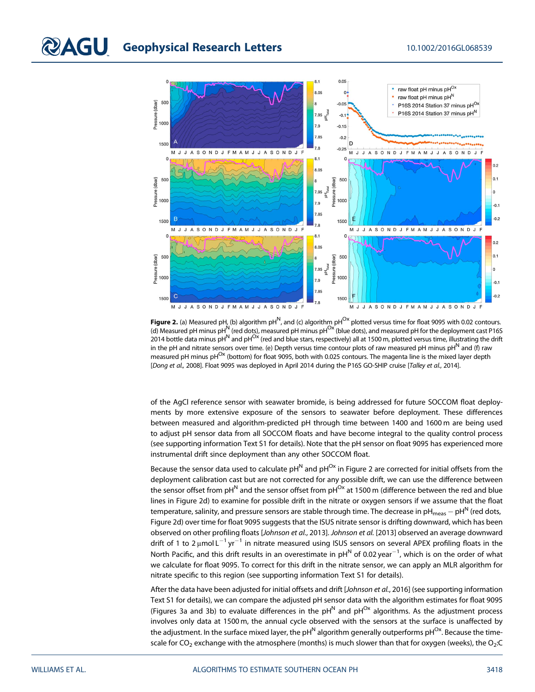

**Figure 2.** (a) Measured pH, (b) algorithm pH<sup>N</sup>, and (c) algorithm pH<sup>Ox</sup> plotted versus time for float 9095 with 0.02 contours. (d) Measured pH minus pH<sup>N</sup> (red dots), measured pH minus pH<sup>Ox</sup> (blue dots), and measured pH for the deployment cast P16S 2014 bottle data minus pH<sup>N</sup> and pH<sup>Ox</sup> (red and blue stars, respectively) all at 1500 m, plotted versus time, illustrating the drift in the pH and nitrate sensors over time. (e) Depth versus time contour plots of raw measured pH minus  $\text{pH}^N$  and (f) raw measured pH minus pH<sup>Ox</sup> (bottom) for float 9095, both with 0.025 contours. The magenta line is the mixed layer depth [Dong et al., 2008]. Float 9095 was deployed in April 2014 during the P16S GO-SHIP cruise [Talley et al., 2014].

of the AgCl reference sensor with seawater bromide, is being addressed for future SOCCOM float deployments by more extensive exposure of the sensors to seawater before deployment. These differences between measured and algorithm-predicted pH through time between 1400 and 1600 m are being used to adjust pH sensor data from all SOCCOM floats and have become integral to the quality control process (see supporting information Text S1 for details). Note that the pH sensor on float 9095 has experienced more instrumental drift since deployment than any other SOCCOM float.

Because the sensor data used to calculate  $pH^N$  and  $pH^{Ox}$  in Figure 2 are corrected for initial offsets from the deployment calibration cast but are not corrected for any possible drift, we can use the difference between the sensor offset from pH<sup>N</sup> and the sensor offset from pH<sup>Ox</sup> at 1500 m (difference between the red and blue lines in Figure 2d) to examine for possible drift in the nitrate or oxygen sensors if we assume that the float temperature, salinity, and pressure sensors are stable through time. The decrease in pH<sub>meas</sub>  $-pH^N$  (red dots, Figure 2d) over time for float 9095 suggests that the ISUS nitrate sensor is drifting downward, which has been observed on other profiling floats [Johnson et al., 2013]. Johnson et al. [2013] observed an average downward drift of 1 to 2  $\mu$ mol L<sup>-1</sup> yr<sup>-1</sup> in nitrate measured using ISUS sensors on several APEX profiling floats in the North Pacific, and this drift results in an overestimate in pH $^{\sf N}$  of 0.02 year $^{-1}$ , which is on the order of what we calculate for float 9095. To correct for this drift in the nitrate sensor, we can apply an MLR algorithm for nitrate specific to this region (see supporting information Text S1 for details).

After the data have been adjusted for initial offsets and drift [Johnson et al., 2016] (see supporting information Text S1 for details), we can compare the adjusted pH sensor data with the algorithm estimates for float 9095 (Figures 3a and 3b) to evaluate differences in the  $pH^N$  and  $pH^{Ox}$  algorithms. As the adjustment process involves only data at 1500 m, the annual cycle observed with the sensors at the surface is unaffected by the adjustment. In the surface mixed layer, the  $ph^N$  algorithm generally outperforms  $ph^{Ox}$ . Because the timescale for  $CO_2$  exchange with the atmosphere (months) is much slower than that for oxygen (weeks), the  $O_2$ :C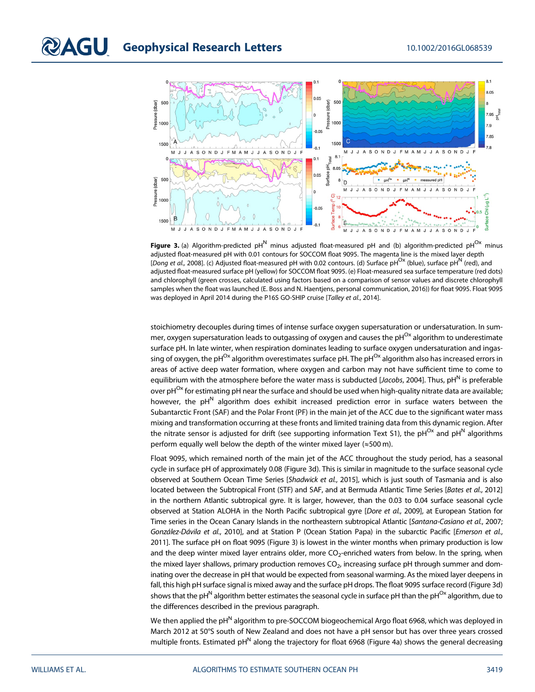

Figure 3. (a) Algorithm-predicted pH<sup>N</sup> minus adjusted float-measured pH and (b) algorithm-predicted pH<sup>Ox</sup> minus adjusted float-measured pH with 0.01 contours for SOCCOM float 9095. The magenta line is the mixed layer depth [Dong et al., 2008]. (c) Adjusted float-measured pH with 0.02 contours. (d) Surface pH<sup>Ox</sup> (blue), surface pH<sup>N</sup> (red), and adjusted float-measured surface pH (yellow) for SOCCOM float 9095. (e) Float-measured sea surface temperature (red dots) and chlorophyll (green crosses, calculated using factors based on a comparison of sensor values and discrete chlorophyll samples when the float was launched (E. Boss and N. Haentjens, personal communication, 2016)) for float 9095. Float 9095 was deployed in April 2014 during the P16S GO-SHIP cruise [Talley et al., 2014].

stoichiometry decouples during times of intense surface oxygen supersaturation or undersaturation. In summer, oxygen supersaturation leads to outgassing of oxygen and causes the  $pH^{Ox}$  algorithm to underestimate surface pH. In late winter, when respiration dominates leading to surface oxygen undersaturation and ingassing of oxygen, the pH<sup>Ox</sup> algorithm overestimates surface pH. The pH<sup>Ox</sup> algorithm also has increased errors in areas of active deep water formation, where oxygen and carbon may not have sufficient time to come to equilibrium with the atmosphere before the water mass is subducted [Jacobs, 2004]. Thus, pH<sup>N</sup> is preferable over pH<sup>Ox</sup> for estimating pH near the surface and should be used when high-quality nitrate data are available; however, the  $pH<sup>N</sup>$  algorithm does exhibit increased prediction error in surface waters between the Subantarctic Front (SAF) and the Polar Front (PF) in the main jet of the ACC due to the significant water mass mixing and transformation occurring at these fronts and limited training data from this dynamic region. After the nitrate sensor is adjusted for drift (see supporting information Text S1), the pH<sup>Ox</sup> and pH<sup>N</sup> algorithms perform equally well below the depth of the winter mixed layer ( $\approx$ 500 m).

Float 9095, which remained north of the main jet of the ACC throughout the study period, has a seasonal cycle in surface pH of approximately 0.08 (Figure 3d). This is similar in magnitude to the surface seasonal cycle observed at Southern Ocean Time Series [Shadwick et al., 2015], which is just south of Tasmania and is also located between the Subtropical Front (STF) and SAF, and at Bermuda Atlantic Time Series [Bates et al., 2012] in the northern Atlantic subtropical gyre. It is larger, however, than the 0.03 to 0.04 surface seasonal cycle observed at Station ALOHA in the North Pacific subtropical gyre [Dore et al., 2009], at European Station for Time series in the Ocean Canary Islands in the northeastern subtropical Atlantic [Santana-Casiano et al., 2007; González-Dávila et al., 2010], and at Station P (Ocean Station Papa) in the subarctic Pacific [Emerson et al., 2011]. The surface pH on float 9095 (Figure 3) is lowest in the winter months when primary production is low and the deep winter mixed layer entrains older, more  $CO<sub>2</sub>$ -enriched waters from below. In the spring, when the mixed layer shallows, primary production removes  $CO<sub>2</sub>$ , increasing surface pH through summer and dominating over the decrease in pH that would be expected from seasonal warming. As the mixed layer deepens in fall, this high pH surface signal is mixed away and the surface pH drops. The float 9095 surface record (Figure 3d) shows that the pH<sup>N</sup> algorithm better estimates the seasonal cycle in surface pH than the pH<sup>Ox</sup> algorithm, due to the differences described in the previous paragraph.

We then applied the pH<sup>N</sup> algorithm to pre-SOCCOM biogeochemical Argo float 6968, which was deployed in March 2012 at 50°S south of New Zealand and does not have a pH sensor but has over three years crossed multiple fronts. Estimated  $ph^N$  along the trajectory for float 6968 (Figure 4a) shows the general decreasing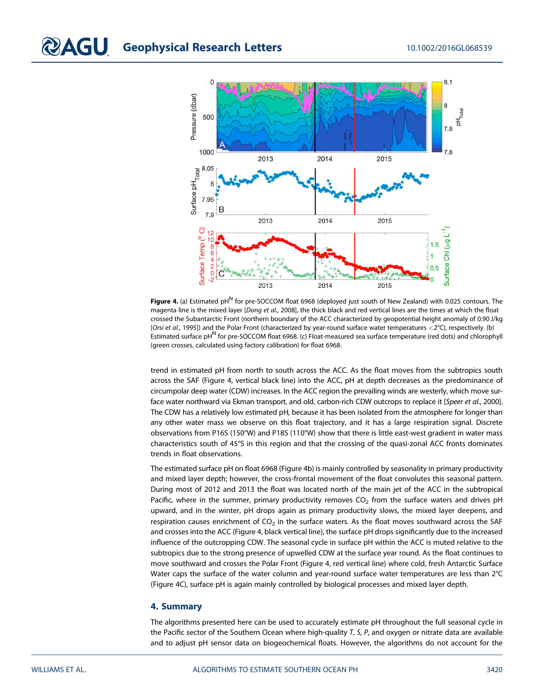

Figure 4. (a) Estimated pH $^N$  for pre-SOCCOM float 6968 (deployed just south of New Zealand) with 0.025 contours. The magenta line is the mixed layer [Dong et al., 2008], the thick black and red vertical lines are the times at which the float crossed the Subantarctic Front (northern boundary of the ACC characterized by geopotential height anomaly of 0.90 J/kg [Orsi et al., 1995]) and the Polar Front (characterized by year-round surface water temperatures  $<$ 2°C), respectively. (b) Estimated surface pH<sup>N</sup> for pre-SOCCOM float 6968. (c) Float-measured sea surface temperature (red dots) and chlorophyll (green crosses, calculated using factory calibration) for float 6968.

trend in estimated pH from north to south across the ACC. As the float moves from the subtropics south across the SAF (Figure 4, vertical black line) into the ACC, pH at depth decreases as the predominance of circumpolar deep water (CDW) increases. In the ACC region the prevailing winds are westerly, which move surface water northward via Ekman transport, and old, carbon-rich CDW outcrops to replace it [Speer et al., 2000]. The CDW has a relatively low estimated pH, because it has been isolated from the atmosphere for longer than any other water mass we observe on this float trajectory, and it has a large respiration signal. Discrete observations from P16S (150°W) and P18S (110°W) show that there is little east-west gradient in water mass characteristics south of 45°S in this region and that the crossing of the quasi-zonal ACC fronts dominates trends in float observations.

The estimated surface pH on float 6968 (Figure 4b) is mainly controlled by seasonality in primary productivity and mixed layer depth; however, the cross-frontal movement of the float convolutes this seasonal pattern. During most of 2012 and 2013 the float was located north of the main jet of the ACC in the subtropical Pacific, where in the summer, primary productivity removes  $CO<sub>2</sub>$  from the surface waters and drives pH upward, and in the winter, pH drops again as primary productivity slows, the mixed layer deepens, and respiration causes enrichment of  $CO<sub>2</sub>$  in the surface waters. As the float moves southward across the SAF and crosses into the ACC (Figure 4, black vertical line), the surface pH drops significantly due to the increased influence of the outcropping CDW. The seasonal cycle in surface pH within the ACC is muted relative to the subtropics due to the strong presence of upwelled CDW at the surface year round. As the float continues to move southward and crosses the Polar Front (Figure 4, red vertical line) where cold, fresh Antarctic Surface Water caps the surface of the water column and year-round surface water temperatures are less than 2°C (Figure 4C), surface pH is again mainly controlled by biological processes and mixed layer depth.

#### 4. Summary

The algorithms presented here can be used to accurately estimate pH throughout the full seasonal cycle in the Pacific sector of the Southern Ocean where high-quality  $T$ ,  $S$ ,  $P$ , and oxygen or nitrate data are available and to adjust pH sensor data on biogeochemical floats. However, the algorithms do not account for the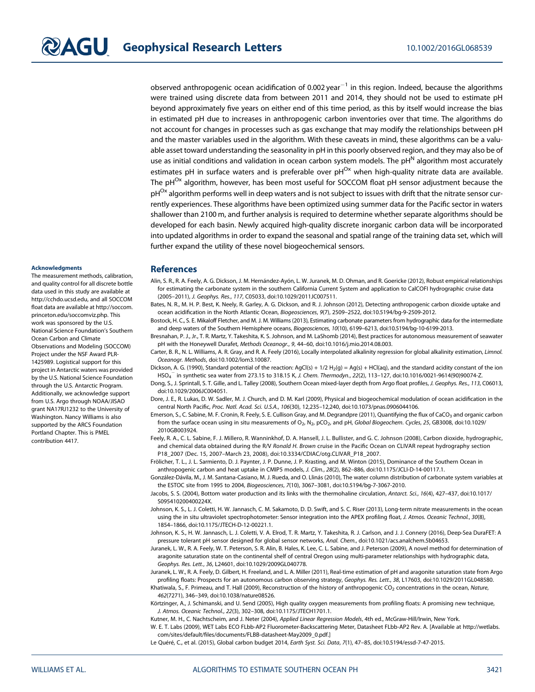observed anthropogenic ocean acidification of 0.002 year<sup>-1</sup> in this region. Indeed, because the algorithms were trained using discrete data from between 2011 and 2014, they should not be used to estimate pH beyond approximately five years on either end of this time period, as this by itself would increase the bias in estimated pH due to increases in anthropogenic carbon inventories over that time. The algorithms do not account for changes in processes such as gas exchange that may modify the relationships between pH and the master variables used in the algorithm. With these caveats in mind, these algorithms can be a valuable asset toward understanding the seasonality in pH in this poorly observed region, and they may also be of use as initial conditions and validation in ocean carbon system models. The  $ph^N$  algorithm most accurately estimates pH in surface waters and is preferable over  $ph^{Ox}$  when high-quality nitrate data are available. The pH<sup>Ox</sup> algorithm, however, has been most useful for SOCCOM float pH sensor adjustment because the  $pH^{Ox}$  algorithm performs well in deep waters and is not subject to issues with drift that the nitrate sensor currently experiences. These algorithms have been optimized using summer data for the Pacific sector in waters shallower than 2100 m, and further analysis is required to determine whether separate algorithms should be developed for each basin. Newly acquired high-quality discrete inorganic carbon data will be incorporated into updated algorithms in order to expand the seasonal and spatial range of the training data set, which will further expand the utility of these novel biogeochemical sensors.

#### **Acknowledaments**

The measurement methods, calibration, and quality control for all discrete bottle data used in this study are available at [http://cchdo.ucsd.edu,](http://cchdo.ucsd.edu) and all SOCCOM float data are available at [http://soccom.](http://soccom.princeton.edu/soccomviz.php) [princeton.edu/soccomviz.php.](http://soccom.princeton.edu/soccomviz.php) This work was sponsored by the U.S. National Science Foundation's Southern Ocean Carbon and Climate Observations and Modeling (SOCCOM) Project under the NSF Award PLR-1425989. Logistical support for this project in Antarctic waters was provided by the U.S. National Science Foundation through the U.S. Antarctic Program. Additionally, we acknowledge support from U.S. Argo through NOAA/JISAO grant NA17RJ1232 to the University of Washington. Nancy Williams is also supported by the ARCS Foundation Portland Chapter. This is PMEL contribution 4417.

#### **References**

- Alin, S. R., R. A. Feely, A. G. Dickson, J. M. Hernández-Ayón, L. W. Juranek, M. D. Ohman, and R. Goericke (2012), Robust empirical relationships for estimating the carbonate system in the southern California Current System and application to CalCOFI hydrographic cruise data (2005–2011), J. Geophys. Res., 117, C05033, doi:[10.1029/2011JC007511](http://dx.doi.org/10.1029/2011JC007511).
- Bates, N. R., M. H. P. Best, K. Neely, R. Garley, A. G. Dickson, and R. J. Johnson (2012), Detecting anthropogenic carbon dioxide uptake and ocean acidification in the North Atlantic Ocean, Biogeosciences, 9(7), 2509–2522, doi:[10.5194/bg-9-2509-2012](http://dx.doi.org/10.5194/bg-9-2509-2012).

Bostock, H. C., S. E. Mikaloff Fletcher, and M. J. M. Williams (2013), Estimating carbonate parameters from hydrographic data for the intermediate and deep waters of the Southern Hemisphere oceans, Biogeosciences, 10(10), 6199–6213, doi[:10.5194/bg-10-6199-2013.](http://dx.doi.org/10.5194/bg-10-6199-2013)

Bresnahan, P. J., Jr., T. R. Martz, Y. Takeshita, K. S. Johnson, and M. LaShomb (2014), Best practices for autonomous measurement of seawater pH with the Honeywell Durafet, Methods Oceanogr., 9, 44–60, doi[:10.1016/j.mio.2014.08.003.](http://dx.doi.org/10.1016/j.mio.2014.08.003)

Carter, B. R., N. L. Williams, A. R. Gray, and R. A. Feely (2016), Locally interpolated alkalinity regression for global alkalinity estimation, Limnol. Oceanogr. Methods, doi:[10.1002/lom3.10087](http://dx.doi.org/10.1002/lom3.10087).

Dickson, A. G. (1990), Standard potential of the reaction: AgCl(s) + 1/2 H<sub>2</sub>(g) = Ag(s) + HCl(aq), and the standard acidity constant of the ion HSO $_4^-$  in synthetic sea water from 273.15 to 318.15 K, *J. Chem. Thermodyn., 22*(2), 113–127, doi[:10.1016/0021-9614\(90\)90074-Z](http://dx.doi.org/10.1016/0021-9614(90)90074-Z).

Dong, S., J. Sprintall, S. T. Gille, and L. Talley (2008), Southern Ocean mixed-layer depth from Argo float profiles, J. Geophys. Res., 113, C06013, doi[:10.1029/2006JC004051.](http://dx.doi.org/10.1029/2006JC004051)

- Dore, J. E., R. Lukas, D. W. Sadler, M. J. Church, and D. M. Karl (2009), Physical and biogeochemical modulation of ocean acidification in the central North Pacific, Proc. Natl. Acad. Sci. U.S.A., 106(30), 12,235–12,240, doi[:10.1073/pnas.0906044106](http://dx.doi.org/10.1073/pnas.0906044106).
- Emerson, S., C. Sabine, M. F. Cronin, R. Feely, S. E. Cullison Gray, and M. Degrandpre (2011), Quantifying the flux of CaCO<sub>3</sub> and organic carbon from the surface ocean using in situ measurements of  $O_2$ ,  $N_2$ , pCO<sub>2</sub>, and pH, Global Biogeochem. Cycles, 25, GB3008, doi[:10.1029/](http://dx.doi.org/10.1029/2010GB003924) [2010GB003924.](http://dx.doi.org/10.1029/2010GB003924)
- Feely, R. A., C. L. Sabine, F. J. Millero, R. Wanninkhof, D. A. Hansell, J. L. Bullister, and G. C. Johnson (2008), Carbon dioxide, hydrographic, and chemical data obtained during the R/V Ronald H. Brown cruise in the Pacific Ocean on CLIVAR repeat hydrography section P18\_2007 (Dec. 15, 2007–March 23, 2008), doi:[10.3334/CDIAC/otg.CLIVAR\\_P18\\_2007](http://dx.doi.org/10.3334/CDIAC/otg.CLIVAR_P18_2007).
- Frölicher, T. L., J. L. Sarmiento, D. J. Paynter, J. P. Dunne, J. P. Krasting, and M. Winton (2015), Dominance of the Southern Ocean in anthropogenic carbon and heat uptake in CMIP5 models, J. Clim., 28(2), 862–886, doi[:10.1175/JCLI-D-14-00117.1.](http://dx.doi.org/10.1175/JCLI-D-14-00117.1)
- González-Dávila, M., J. M. Santana-Casiano, M. J. Rueda, and O. Llinás (2010), The water column distribution of carbonate system variables at the ESTOC site from 1995 to 2004, Biogeosciences, 7(10), 3067–3081, doi:[10.5194/bg-7-3067-2010](http://dx.doi.org/10.5194/bg-7-3067-2010).
- Jacobs, S. S. (2004), Bottom water production and its links with the thermohaline circulation, Antarct. Sci., 16(4), 427–437, doi:[10.1017/](http://dx.doi.org/10.1017/S095410200400224X) [S095410200400224X.](http://dx.doi.org/10.1017/S095410200400224X)
- Johnson, K. S., L. J. Coletti, H. W. Jannasch, C. M. Sakamoto, D. D. Swift, and S. C. Riser (2013), Long-term nitrate measurements in the ocean using the in situ ultraviolet spectrophotometer: Sensor integration into the APEX profiling float, J. Atmos. Oceanic Technol., 30(8), 1854–1866, doi:[10.1175/JTECH-D-12-00221.1.](http://dx.doi.org/10.1175/JTECH-D-12-00221.1)
- Johnson, K. S., H. W. Jannasch, L. J. Coletti, V. A. Elrod, T. R. Martz, Y. Takeshita, R. J. Carlson, and J. J. Connery (2016), Deep-Sea DuraFET: A pressure tolerant pH sensor designed for global sensor networks, Anal. Chem., doi[:10.1021/acs.analchem.5b04653.](http://dx.doi.org/10.1021/acs.analchem.5b04653)
- Juranek, L. W., R. A. Feely, W. T. Peterson, S. R. Alin, B. Hales, K. Lee, C. L. Sabine, and J. Peterson (2009), A novel method for determination of aragonite saturation state on the continental shelf of central Oregon using multi-parameter relationships with hydrographic data, Geophys. Res. Lett., 36, L24601, doi[:10.1029/2009GL040778](http://dx.doi.org/10.1029/2009GL040778).
- Juranek, L. W., R. A. Feely, D. Gilbert, H. Freeland, and L. A. Miller (2011), Real-time estimation of pH and aragonite saturation state from Argo profiling floats: Prospects for an autonomous carbon observing strategy, Geophys. Res. Lett., 38, L17603, doi[:10.1029/2011GL048580.](http://dx.doi.org/10.1029/2011GL048580)
- Khatiwala, S., F. Primeau, and T. Hall (2009), Reconstruction of the history of anthropogenic CO<sub>2</sub> concentrations in the ocean, Nature, 462(7271), 346–349, doi[:10.1038/nature08526.](http://dx.doi.org/10.1038/nature08526)
- Körtzinger, A., J. Schimanski, and U. Send (2005), High quality oxygen measurements from profiling floats: A promising new technique, J. Atmos. Oceanic Technol., 22(3), 302–308, doi[:10.1175/JTECH1701.1.](http://dx.doi.org/10.1175/JTECH1701.1)

Kutner, M. H., C. Nachtscheim, and J. Neter (2004), Applied Linear Regression Models, 4th ed., McGraw-Hill/Irwin, New York. W. E. T. Labs (2009), WET Labs ECO FLbb-AP2 Fluorometer-Backscattering Meter, Datasheet FLbb-AP2 Rev. A. [Available at [http://wetlabs.](http://wetlabs.com/sites/default/files/documents/FLBB-datasheet-May2009_0.pdf)

com/sites/default/fi[les/documents/FLBB-datasheet-May2009\\_0.pdf](http://wetlabs.com/sites/default/files/documents/FLBB-datasheet-May2009_0.pdf).]

Le Quéré, C., et al. (2015), Global carbon budget 2014, Earth Syst. Sci. Data, 7(1), 47–85, doi:[10.5194/essd-7-47-2015.](http://dx.doi.org/10.5194/essd-7-47-2015)